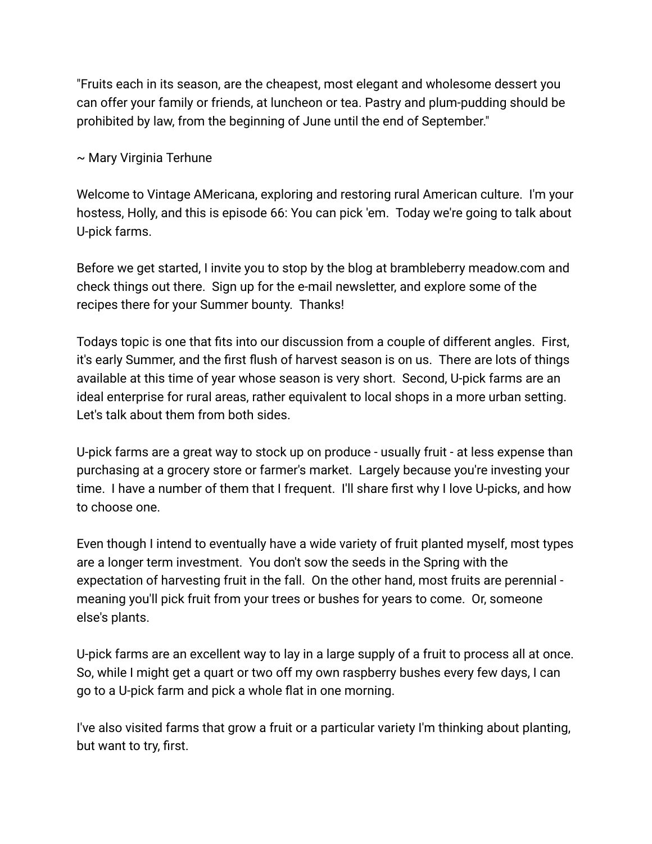"Fruits each in its season, are the cheapest, most elegant and wholesome dessert you can offer your family or friends, at luncheon or tea. Pastry and plum-pudding should be prohibited by law, from the beginning of June until the end of September."

~ Mary Virginia Terhune

Welcome to Vintage AMericana, exploring and restoring rural American culture. I'm your hostess, Holly, and this is episode 66: You can pick 'em. Today we're going to talk about U-pick farms.

Before we get started, I invite you to stop by the blog at brambleberry meadow.com and check things out there. Sign up for the e-mail newsletter, and explore some of the recipes there for your Summer bounty. Thanks!

Todays topic is one that fits into our discussion from a couple of different angles. First, it's early Summer, and the first flush of harvest season is on us. There are lots of things available at this time of year whose season is very short. Second, U-pick farms are an ideal enterprise for rural areas, rather equivalent to local shops in a more urban setting. Let's talk about them from both sides.

U-pick farms are a great way to stock up on produce - usually fruit - at less expense than purchasing at a grocery store or farmer's market. Largely because you're investing your time. I have a number of them that I frequent. I'll share first why I love U-picks, and how to choose one.

Even though I intend to eventually have a wide variety of fruit planted myself, most types are a longer term investment. You don't sow the seeds in the Spring with the expectation of harvesting fruit in the fall. On the other hand, most fruits are perennial meaning you'll pick fruit from your trees or bushes for years to come. Or, someone else's plants.

U-pick farms are an excellent way to lay in a large supply of a fruit to process all at once. So, while I might get a quart or two off my own raspberry bushes every few days, I can go to a U-pick farm and pick a whole flat in one morning.

I've also visited farms that grow a fruit or a particular variety I'm thinking about planting, but want to try, first.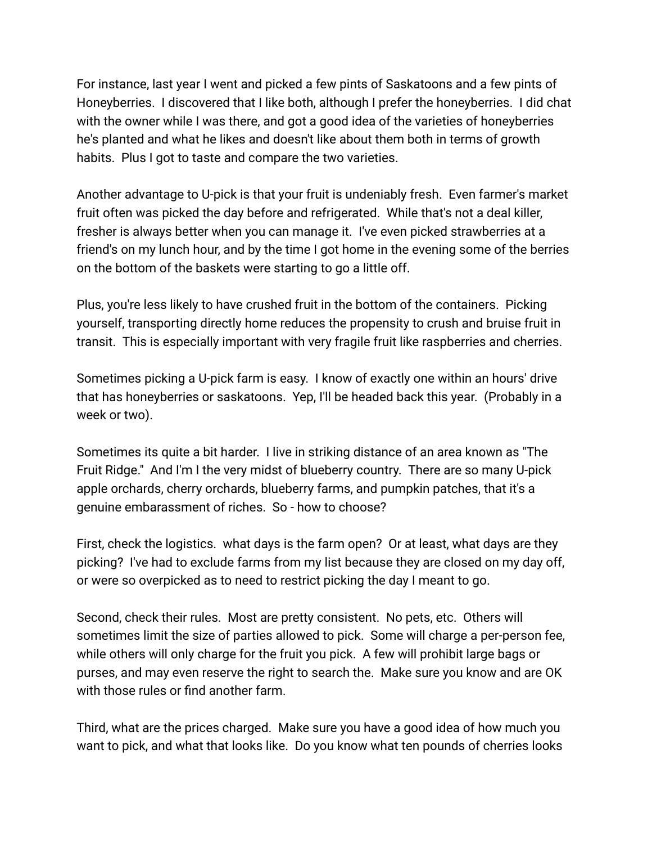For instance, last year I went and picked a few pints of Saskatoons and a few pints of Honeyberries. I discovered that I like both, although I prefer the honeyberries. I did chat with the owner while I was there, and got a good idea of the varieties of honeyberries he's planted and what he likes and doesn't like about them both in terms of growth habits. Plus I got to taste and compare the two varieties.

Another advantage to U-pick is that your fruit is undeniably fresh. Even farmer's market fruit often was picked the day before and refrigerated. While that's not a deal killer, fresher is always better when you can manage it. I've even picked strawberries at a friend's on my lunch hour, and by the time I got home in the evening some of the berries on the bottom of the baskets were starting to go a little off.

Plus, you're less likely to have crushed fruit in the bottom of the containers. Picking yourself, transporting directly home reduces the propensity to crush and bruise fruit in transit. This is especially important with very fragile fruit like raspberries and cherries.

Sometimes picking a U-pick farm is easy. I know of exactly one within an hours' drive that has honeyberries or saskatoons. Yep, I'll be headed back this year. (Probably in a week or two).

Sometimes its quite a bit harder. I live in striking distance of an area known as "The Fruit Ridge." And I'm I the very midst of blueberry country. There are so many U-pick apple orchards, cherry orchards, blueberry farms, and pumpkin patches, that it's a genuine embarassment of riches. So - how to choose?

First, check the logistics. what days is the farm open? Or at least, what days are they picking? I've had to exclude farms from my list because they are closed on my day off, or were so overpicked as to need to restrict picking the day I meant to go.

Second, check their rules. Most are pretty consistent. No pets, etc. Others will sometimes limit the size of parties allowed to pick. Some will charge a per-person fee, while others will only charge for the fruit you pick. A few will prohibit large bags or purses, and may even reserve the right to search the. Make sure you know and are OK with those rules or find another farm.

Third, what are the prices charged. Make sure you have a good idea of how much you want to pick, and what that looks like. Do you know what ten pounds of cherries looks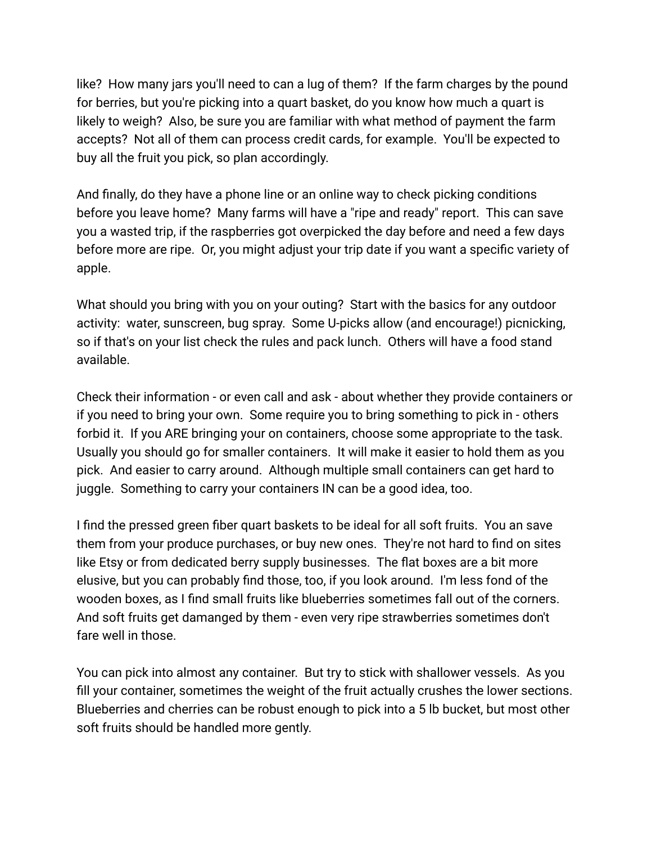like? How many jars you'll need to can a lug of them? If the farm charges by the pound for berries, but you're picking into a quart basket, do you know how much a quart is likely to weigh? Also, be sure you are familiar with what method of payment the farm accepts? Not all of them can process credit cards, for example. You'll be expected to buy all the fruit you pick, so plan accordingly.

And finally, do they have a phone line or an online way to check picking conditions before you leave home? Many farms will have a "ripe and ready" report. This can save you a wasted trip, if the raspberries got overpicked the day before and need a few days before more are ripe. Or, you might adjust your trip date if you want a specific variety of apple.

What should you bring with you on your outing? Start with the basics for any outdoor activity: water, sunscreen, bug spray. Some U-picks allow (and encourage!) picnicking, so if that's on your list check the rules and pack lunch. Others will have a food stand available.

Check their information - or even call and ask - about whether they provide containers or if you need to bring your own. Some require you to bring something to pick in - others forbid it. If you ARE bringing your on containers, choose some appropriate to the task. Usually you should go for smaller containers. It will make it easier to hold them as you pick. And easier to carry around. Although multiple small containers can get hard to juggle. Something to carry your containers IN can be a good idea, too.

I find the pressed green fiber quart baskets to be ideal for all soft fruits. You an save them from your produce purchases, or buy new ones. They're not hard to find on sites like Etsy or from dedicated berry supply businesses. The flat boxes are a bit more elusive, but you can probably find those, too, if you look around. I'm less fond of the wooden boxes, as I find small fruits like blueberries sometimes fall out of the corners. And soft fruits get damanged by them - even very ripe strawberries sometimes don't fare well in those.

You can pick into almost any container. But try to stick with shallower vessels. As you fill your container, sometimes the weight of the fruit actually crushes the lower sections. Blueberries and cherries can be robust enough to pick into a 5 lb bucket, but most other soft fruits should be handled more gently.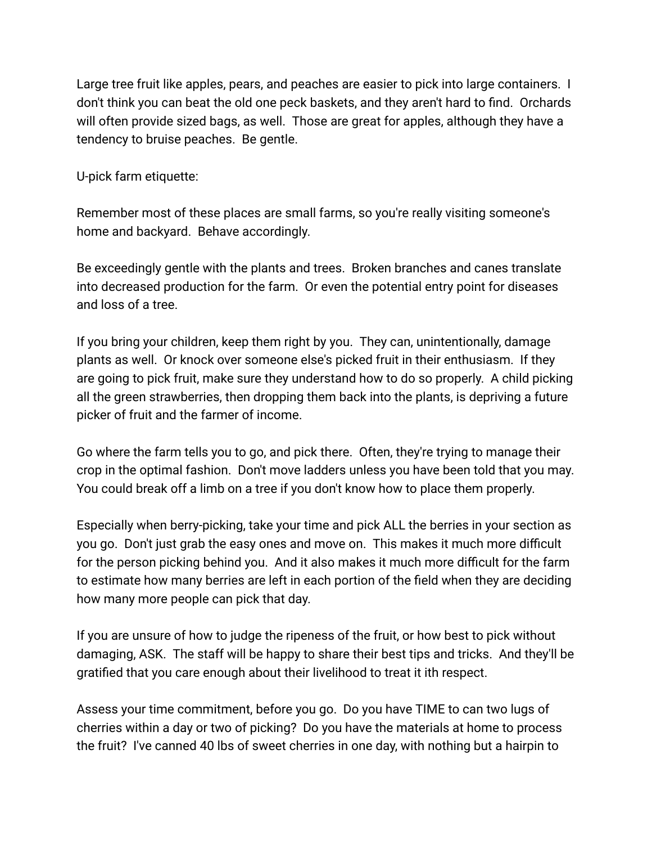Large tree fruit like apples, pears, and peaches are easier to pick into large containers. I don't think you can beat the old one peck baskets, and they aren't hard to find. Orchards will often provide sized bags, as well. Those are great for apples, although they have a tendency to bruise peaches. Be gentle.

U-pick farm etiquette:

Remember most of these places are small farms, so you're really visiting someone's home and backyard. Behave accordingly.

Be exceedingly gentle with the plants and trees. Broken branches and canes translate into decreased production for the farm. Or even the potential entry point for diseases and loss of a tree.

If you bring your children, keep them right by you. They can, unintentionally, damage plants as well. Or knock over someone else's picked fruit in their enthusiasm. If they are going to pick fruit, make sure they understand how to do so properly. A child picking all the green strawberries, then dropping them back into the plants, is depriving a future picker of fruit and the farmer of income.

Go where the farm tells you to go, and pick there. Often, they're trying to manage their crop in the optimal fashion. Don't move ladders unless you have been told that you may. You could break off a limb on a tree if you don't know how to place them properly.

Especially when berry-picking, take your time and pick ALL the berries in your section as you go. Don't just grab the easy ones and move on. This makes it much more difficult for the person picking behind you. And it also makes it much more difficult for the farm to estimate how many berries are left in each portion of the field when they are deciding how many more people can pick that day.

If you are unsure of how to judge the ripeness of the fruit, or how best to pick without damaging, ASK. The staff will be happy to share their best tips and tricks. And they'll be gratified that you care enough about their livelihood to treat it ith respect.

Assess your time commitment, before you go. Do you have TIME to can two lugs of cherries within a day or two of picking? Do you have the materials at home to process the fruit? I've canned 40 lbs of sweet cherries in one day, with nothing but a hairpin to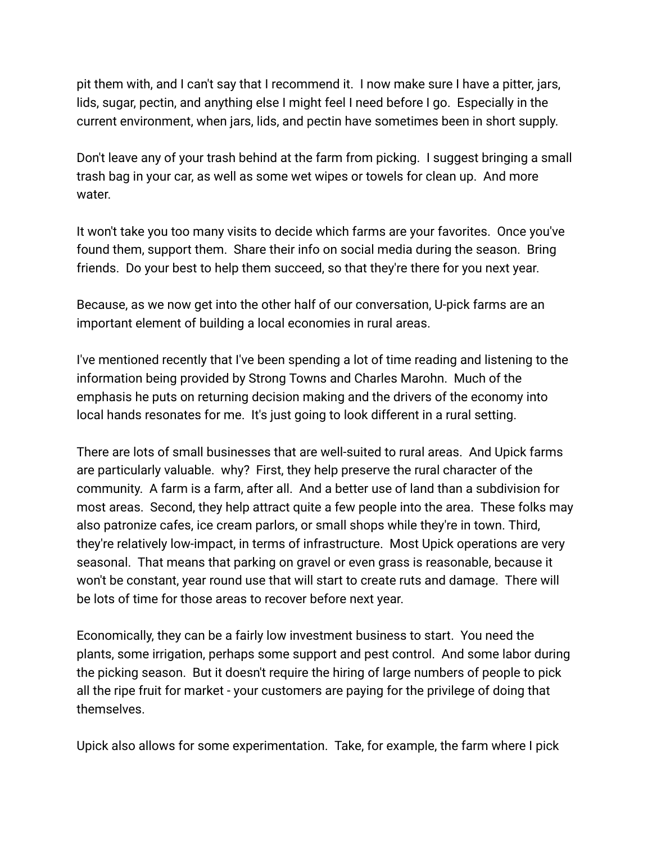pit them with, and I can't say that I recommend it. I now make sure I have a pitter, jars, lids, sugar, pectin, and anything else I might feel I need before I go. Especially in the current environment, when jars, lids, and pectin have sometimes been in short supply.

Don't leave any of your trash behind at the farm from picking. I suggest bringing a small trash bag in your car, as well as some wet wipes or towels for clean up. And more water.

It won't take you too many visits to decide which farms are your favorites. Once you've found them, support them. Share their info on social media during the season. Bring friends. Do your best to help them succeed, so that they're there for you next year.

Because, as we now get into the other half of our conversation, U-pick farms are an important element of building a local economies in rural areas.

I've mentioned recently that I've been spending a lot of time reading and listening to the information being provided by Strong Towns and Charles Marohn. Much of the emphasis he puts on returning decision making and the drivers of the economy into local hands resonates for me. It's just going to look different in a rural setting.

There are lots of small businesses that are well-suited to rural areas. And Upick farms are particularly valuable. why? First, they help preserve the rural character of the community. A farm is a farm, after all. And a better use of land than a subdivision for most areas. Second, they help attract quite a few people into the area. These folks may also patronize cafes, ice cream parlors, or small shops while they're in town. Third, they're relatively low-impact, in terms of infrastructure. Most Upick operations are very seasonal. That means that parking on gravel or even grass is reasonable, because it won't be constant, year round use that will start to create ruts and damage. There will be lots of time for those areas to recover before next year.

Economically, they can be a fairly low investment business to start. You need the plants, some irrigation, perhaps some support and pest control. And some labor during the picking season. But it doesn't require the hiring of large numbers of people to pick all the ripe fruit for market - your customers are paying for the privilege of doing that themselves.

Upick also allows for some experimentation. Take, for example, the farm where I pick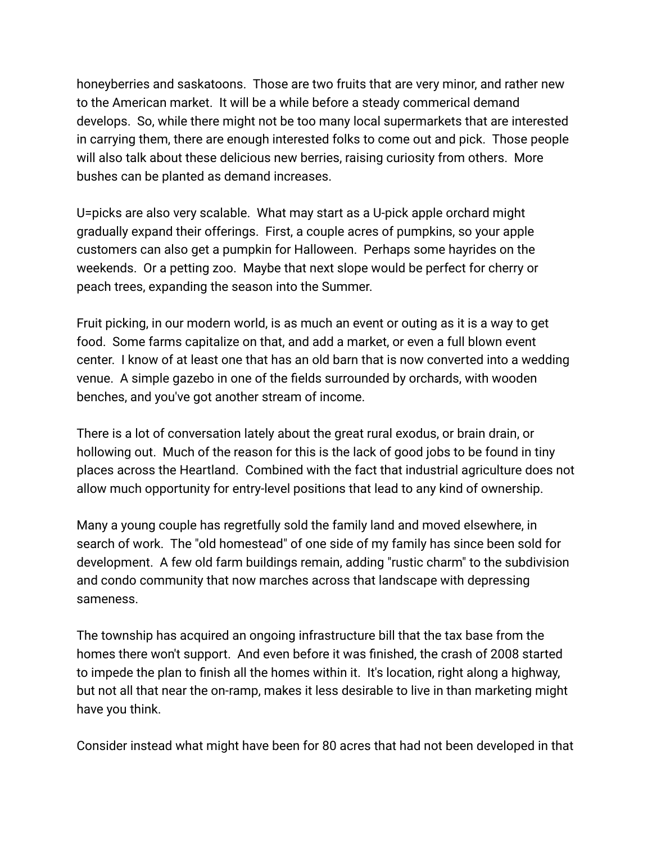honeyberries and saskatoons. Those are two fruits that are very minor, and rather new to the American market. It will be a while before a steady commerical demand develops. So, while there might not be too many local supermarkets that are interested in carrying them, there are enough interested folks to come out and pick. Those people will also talk about these delicious new berries, raising curiosity from others. More bushes can be planted as demand increases.

U=picks are also very scalable. What may start as a U-pick apple orchard might gradually expand their offerings. First, a couple acres of pumpkins, so your apple customers can also get a pumpkin for Halloween. Perhaps some hayrides on the weekends. Or a petting zoo. Maybe that next slope would be perfect for cherry or peach trees, expanding the season into the Summer.

Fruit picking, in our modern world, is as much an event or outing as it is a way to get food. Some farms capitalize on that, and add a market, or even a full blown event center. I know of at least one that has an old barn that is now converted into a wedding venue. A simple gazebo in one of the fields surrounded by orchards, with wooden benches, and you've got another stream of income.

There is a lot of conversation lately about the great rural exodus, or brain drain, or hollowing out. Much of the reason for this is the lack of good jobs to be found in tiny places across the Heartland. Combined with the fact that industrial agriculture does not allow much opportunity for entry-level positions that lead to any kind of ownership.

Many a young couple has regretfully sold the family land and moved elsewhere, in search of work. The "old homestead" of one side of my family has since been sold for development. A few old farm buildings remain, adding "rustic charm" to the subdivision and condo community that now marches across that landscape with depressing sameness.

The township has acquired an ongoing infrastructure bill that the tax base from the homes there won't support. And even before it was finished, the crash of 2008 started to impede the plan to finish all the homes within it. It's location, right along a highway, but not all that near the on-ramp, makes it less desirable to live in than marketing might have you think.

Consider instead what might have been for 80 acres that had not been developed in that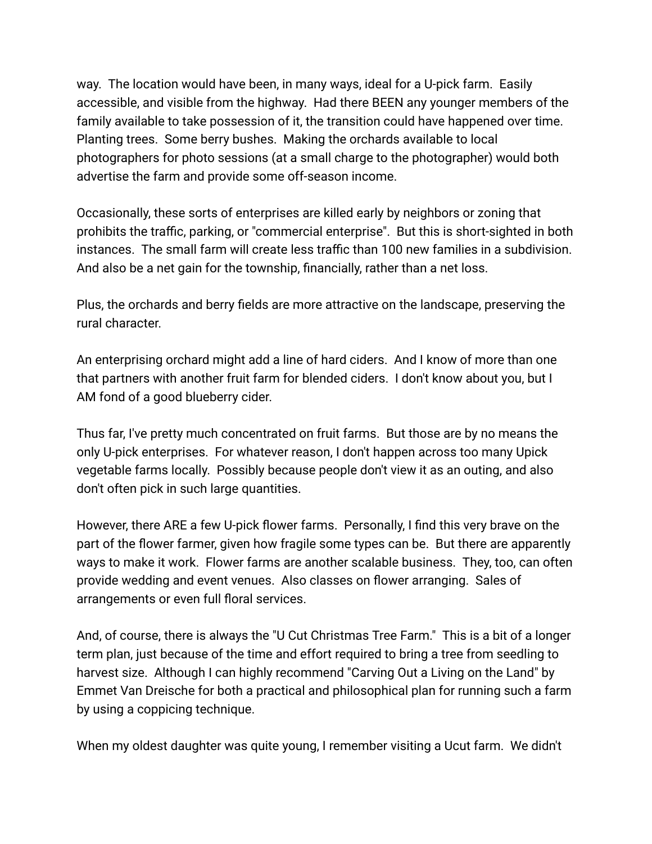way. The location would have been, in many ways, ideal for a U-pick farm. Easily accessible, and visible from the highway. Had there BEEN any younger members of the family available to take possession of it, the transition could have happened over time. Planting trees. Some berry bushes. Making the orchards available to local photographers for photo sessions (at a small charge to the photographer) would both advertise the farm and provide some off-season income.

Occasionally, these sorts of enterprises are killed early by neighbors or zoning that prohibits the traffic, parking, or "commercial enterprise". But this is short-sighted in both instances. The small farm will create less traffic than 100 new families in a subdivision. And also be a net gain for the township, financially, rather than a net loss.

Plus, the orchards and berry fields are more attractive on the landscape, preserving the rural character.

An enterprising orchard might add a line of hard ciders. And I know of more than one that partners with another fruit farm for blended ciders. I don't know about you, but I AM fond of a good blueberry cider.

Thus far, I've pretty much concentrated on fruit farms. But those are by no means the only U-pick enterprises. For whatever reason, I don't happen across too many Upick vegetable farms locally. Possibly because people don't view it as an outing, and also don't often pick in such large quantities.

However, there ARE a few U-pick flower farms. Personally, I find this very brave on the part of the flower farmer, given how fragile some types can be. But there are apparently ways to make it work. Flower farms are another scalable business. They, too, can often provide wedding and event venues. Also classes on flower arranging. Sales of arrangements or even full floral services.

And, of course, there is always the "U Cut Christmas Tree Farm." This is a bit of a longer term plan, just because of the time and effort required to bring a tree from seedling to harvest size. Although I can highly recommend "Carving Out a Living on the Land" by Emmet Van Dreische for both a practical and philosophical plan for running such a farm by using a coppicing technique.

When my oldest daughter was quite young, I remember visiting a Ucut farm. We didn't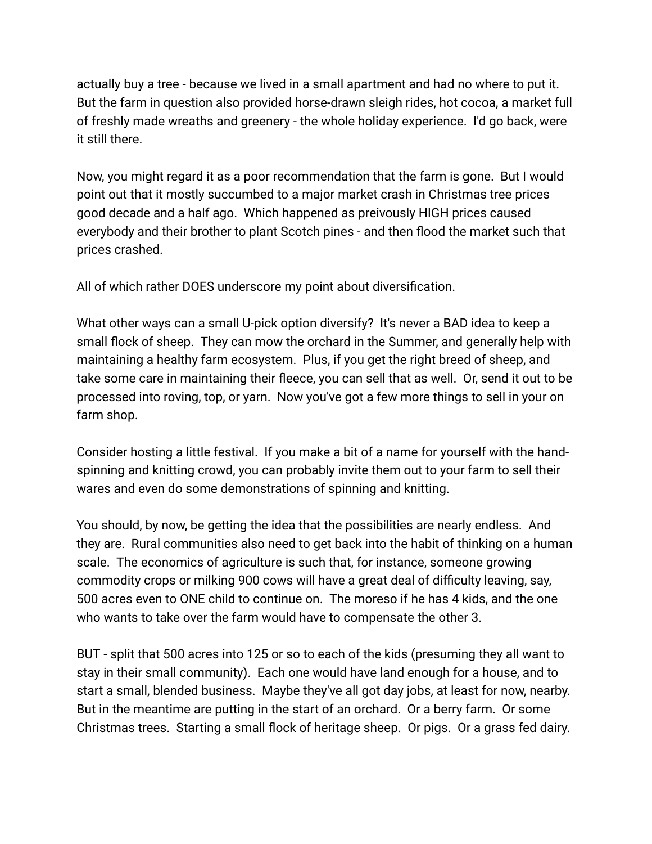actually buy a tree - because we lived in a small apartment and had no where to put it. But the farm in question also provided horse-drawn sleigh rides, hot cocoa, a market full of freshly made wreaths and greenery - the whole holiday experience. I'd go back, were it still there.

Now, you might regard it as a poor recommendation that the farm is gone. But I would point out that it mostly succumbed to a major market crash in Christmas tree prices good decade and a half ago. Which happened as preivously HIGH prices caused everybody and their brother to plant Scotch pines - and then flood the market such that prices crashed.

All of which rather DOES underscore my point about diversification.

What other ways can a small U-pick option diversify? It's never a BAD idea to keep a small flock of sheep. They can mow the orchard in the Summer, and generally help with maintaining a healthy farm ecosystem. Plus, if you get the right breed of sheep, and take some care in maintaining their fleece, you can sell that as well. Or, send it out to be processed into roving, top, or yarn. Now you've got a few more things to sell in your on farm shop.

Consider hosting a little festival. If you make a bit of a name for yourself with the handspinning and knitting crowd, you can probably invite them out to your farm to sell their wares and even do some demonstrations of spinning and knitting.

You should, by now, be getting the idea that the possibilities are nearly endless. And they are. Rural communities also need to get back into the habit of thinking on a human scale. The economics of agriculture is such that, for instance, someone growing commodity crops or milking 900 cows will have a great deal of difficulty leaving, say, 500 acres even to ONE child to continue on. The moreso if he has 4 kids, and the one who wants to take over the farm would have to compensate the other 3.

BUT - split that 500 acres into 125 or so to each of the kids (presuming they all want to stay in their small community). Each one would have land enough for a house, and to start a small, blended business. Maybe they've all got day jobs, at least for now, nearby. But in the meantime are putting in the start of an orchard. Or a berry farm. Or some Christmas trees. Starting a small flock of heritage sheep. Or pigs. Or a grass fed dairy.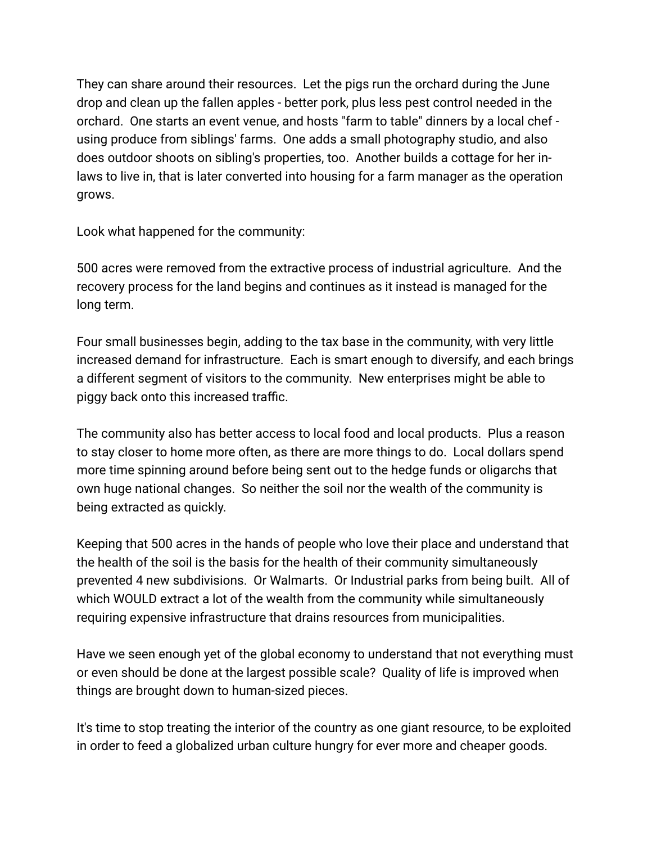They can share around their resources. Let the pigs run the orchard during the June drop and clean up the fallen apples - better pork, plus less pest control needed in the orchard. One starts an event venue, and hosts "farm to table" dinners by a local chef using produce from siblings' farms. One adds a small photography studio, and also does outdoor shoots on sibling's properties, too. Another builds a cottage for her inlaws to live in, that is later converted into housing for a farm manager as the operation grows.

Look what happened for the community:

500 acres were removed from the extractive process of industrial agriculture. And the recovery process for the land begins and continues as it instead is managed for the long term.

Four small businesses begin, adding to the tax base in the community, with very little increased demand for infrastructure. Each is smart enough to diversify, and each brings a different segment of visitors to the community. New enterprises might be able to piggy back onto this increased traffic.

The community also has better access to local food and local products. Plus a reason to stay closer to home more often, as there are more things to do. Local dollars spend more time spinning around before being sent out to the hedge funds or oligarchs that own huge national changes. So neither the soil nor the wealth of the community is being extracted as quickly.

Keeping that 500 acres in the hands of people who love their place and understand that the health of the soil is the basis for the health of their community simultaneously prevented 4 new subdivisions. Or Walmarts. Or Industrial parks from being built. All of which WOULD extract a lot of the wealth from the community while simultaneously requiring expensive infrastructure that drains resources from municipalities.

Have we seen enough yet of the global economy to understand that not everything must or even should be done at the largest possible scale? Quality of life is improved when things are brought down to human-sized pieces.

It's time to stop treating the interior of the country as one giant resource, to be exploited in order to feed a globalized urban culture hungry for ever more and cheaper goods.